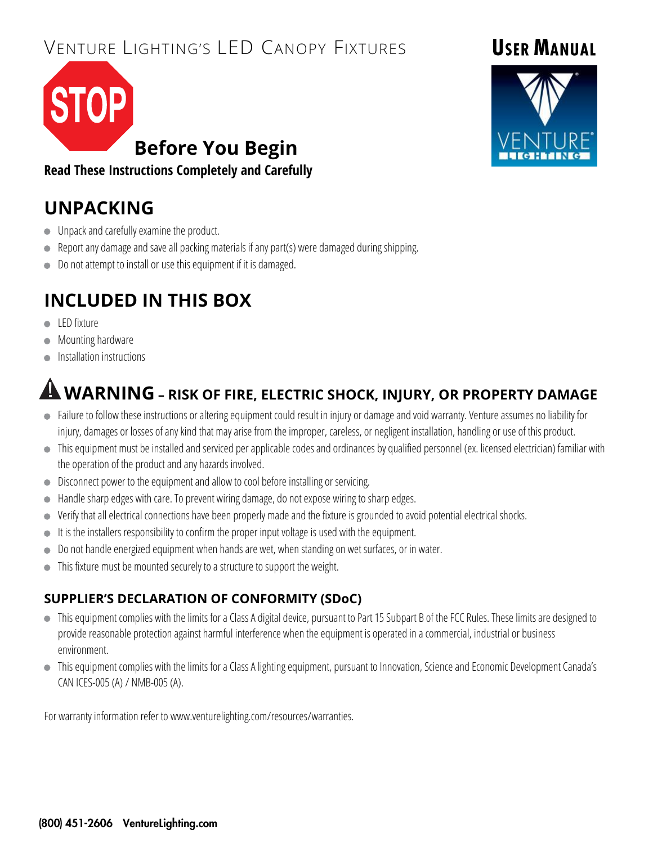# VENTURE LIGHTING'S LED CANOPY FIXTURES

# **Before You Begin**

**Read These Instructions Completely and Carefully**

## **UNPACKING**

- **Unpack and carefully examine the product.**
- Report any damage and save all packing materials if any part(s) were damaged during shipping.
- Do not attempt to install or use this equipment if it is damaged.

# **INCLUDED IN THIS BOX**

- **LED** fixture
- Mounting hardware
- Installation instructions

# **WARNING – RISK OF FIRE, ELECTRIC SHOCK, INJURY, OR PROPERTY DAMAGE**

- Failure to follow these instructions or altering equipment could result in injury or damage and void warranty. Venture assumes no liability for injury, damages or losses of any kind that may arise from the improper, careless, or negligent installation, handling or use of this product.
- This equipment must be installed and serviced per applicable codes and ordinances by qualified personnel (ex. licensed electrician) familiar with the operation of the product and any hazards involved.
- **•** Disconnect power to the equipment and allow to cool before installing or servicing.
- Handle sharp edges with care. To prevent wiring damage, do not expose wiring to sharp edges.
- Verify that all electrical connections have been properly made and the fixture is grounded to avoid potential electrical shocks.
- It is the installers responsibility to confirm the proper input voltage is used with the equipment.
- Do not handle energized equipment when hands are wet, when standing on wet surfaces, or in water.
- This fixture must be mounted securely to a structure to support the weight.

#### **SUPPLIER'S DECLARATION OF CONFORMITY (SDoC)**

- This equipment complies with the limits for a Class A digital device, pursuant to Part 15 Subpart B of the FCC Rules. These limits are designed to provide reasonable protection against harmful interference when the equipment is operated in a commercial, industrial or business environment.
- $\bullet$  This equipment complies with the limits for a Class A lighting equipment, pursuant to Innovation, Science and Economic Development Canada's CAN ICES-005 (A) / NMB-005 (A).

For warranty information refer to www.venturelighting.com/resources/warranties.

**USER MANUAL**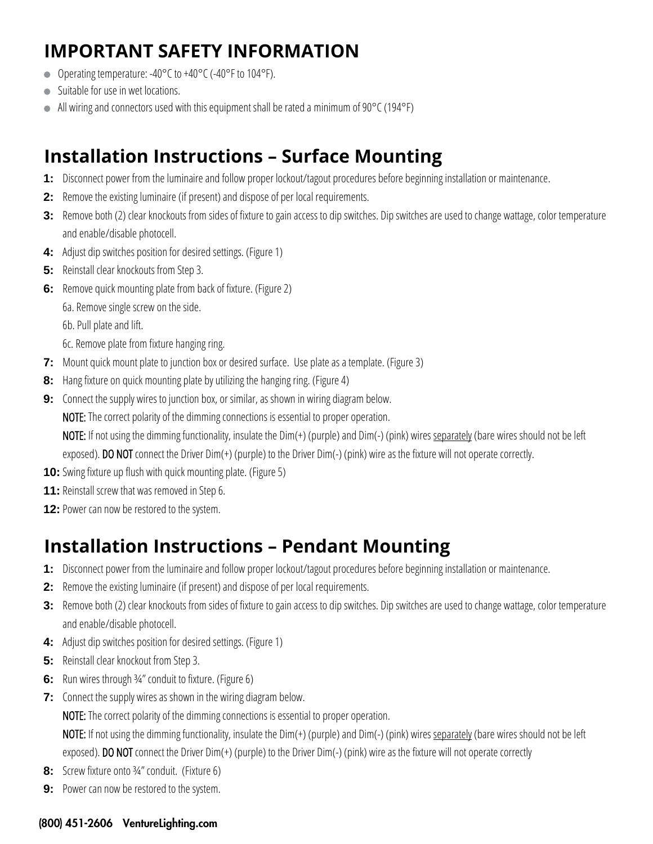# **IMPORTANT SAFETY INFORMATION**

- Operating temperature: -40°C to +40°C (-40°F to 104°F).
- Suitable for use in wet locations.
- All wiring and connectors used with this equipment shall be rated a minimum of 90°C (194°F)

## **Installation Instructions – Surface Mounting**

- **1:** Disconnect power from the luminaire and follow proper lockout/tagout procedures before beginning installation or maintenance.
- **2:** Remove the existing luminaire (if present) and dispose of per local requirements.
- **3:** Remove both (2) clear knockouts from sides of fixture to gain access to dip switches. Dip switches are used to change wattage, color temperature and enable/disable photocell.
- **4:** Adjust dip switches position for desired settings. (Figure 1)
- **5:** Reinstall clear knockouts from Step 3.
- **6:** Remove quick mounting plate from back of fixture. (Figure 2)
	- 6a. Remove single screw on the side.
	- 6b. Pull plate and lift.
	- 6c. Remove plate from fixture hanging ring.
- **7:** Mount quick mount plate to junction box or desired surface. Use plate as a template. (Figure 3)
- **8:** Hang fixture on quick mounting plate by utilizing the hanging ring. (Figure 4)
- **9:** Connect the supply wires to junction box, or similar, as shown in wiring diagram below.

NOTE: The correct polarity of the dimming connections is essential to proper operation.

NOTE: If not using the dimming functionality, insulate the Dim(+) (purple) and Dim(-) (pink) wires separately (bare wires should not be left

exposed). DO NOT connect the Driver Dim(+) (purple) to the Driver Dim(-) (pink) wire as the fixture will not operate correctly.

- **10:** Swing fixture up flush with quick mounting plate. (Figure 5)
- **11:** Reinstall screw that was removed in Step 6.
- **12:** Power can now be restored to the system.

#### **Installation Instructions – Pendant Mounting**

- **1:** Disconnect power from the luminaire and follow proper lockout/tagout procedures before beginning installation or maintenance.
- **2:** Remove the existing luminaire (if present) and dispose of per local requirements.
- **3:** Remove both (2) clear knockouts from sides of fixture to gain access to dip switches. Dip switches are used to change wattage, color temperature and enable/disable photocell.
- **4:** Adjust dip switches position for desired settings. (Figure 1)
- **5:** Reinstall clear knockout from Step 3.
- **6:** Run wires through 34" conduit to fixture. (Figure 6)
- **7:** Connect the supply wires as shown in the wiring diagram below.

NOTE: The correct polarity of the dimming connections is essential to proper operation.

NOTE: If not using the dimming functionality, insulate the Dim(+) (purple) and Dim(-) (pink) wires separately (bare wires should not be left exposed). DO NOT connect the Driver Dim(+) (purple) to the Driver Dim(-) (pink) wire as the fixture will not operate correctly

- **8:** Screw fixture onto ¾" conduit. (Fixture 6)
- **9:** Power can now be restored to the system.

#### (800) 451-2606 VentureLighting.com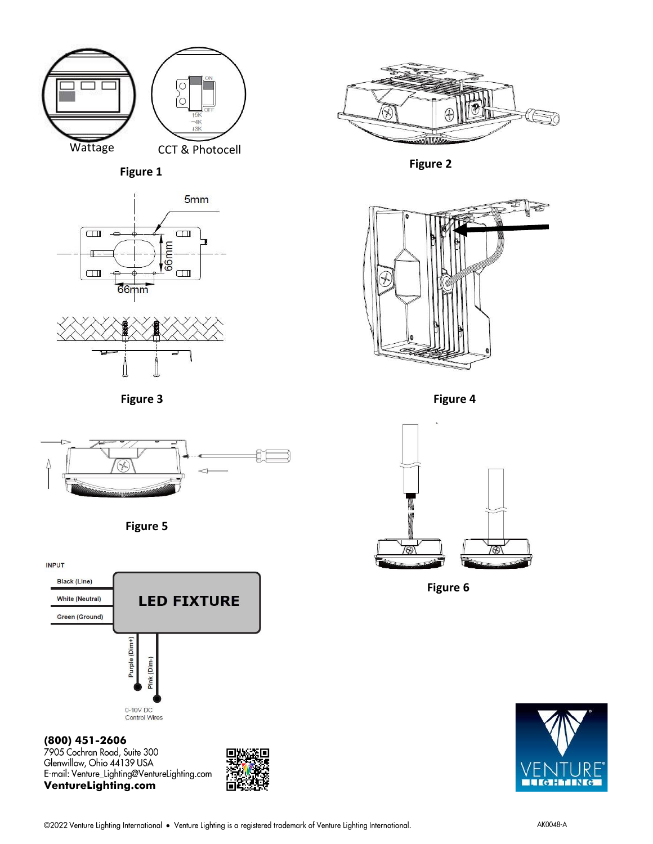











**(800) 451-2606** *Vice Seminary State State Seminary Chio 44139 USA***<br>
E-mail: Venture\_Lighting@VentureLighting.com<br>
<b>VentureLighting.com** 





**Figure 1 Figure 2**



**Figure 3 Figure 4**



**Figure 6**

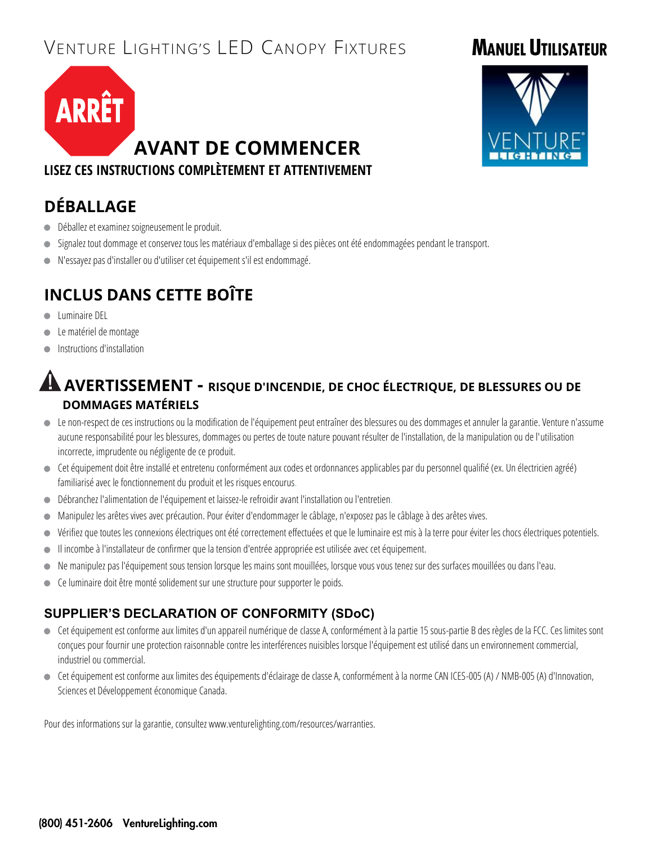# VENTURE LIGHTING'S LED CANOPY FIXTURES

# **MANUEL UTILISATEUR**



# **AVANT DE COMMENCER**

**LISEZ CES INSTRUCTIONS COMPLÈTEMENT ET ATTENTIVEMENT**

#### **DÉBALLAGE**

- Déballez et examinez soigneusement le produit.
- Signalez tout dommage et conservez tous les matériaux d'emballage si des pièces ont été endommagées pendant le transport.
- N'essayez pas d'installer ou d'utiliser cet équipement s'il est endommagé.

#### **INCLUS DANS CETTE BOÎTE**

- **Luminaire DEL**
- Le matériel de montage
- Instructions d'installation

#### **AVERTISSEMENT - RISQUE D'INCENDIE, DE CHOC ÉLECTRIQUE, DE BLESSURES OU DE DOMMAGES MATÉRIELS**

- Le non-respect de ces instructions ou la modification de l'équipement peut entraîner des blessures ou des dommages et annuler la garantie. Venture n'assume aucune responsabilité pour les blessures, dommages ou pertes de toute nature pouvant résulter de l'installation, de la manipulation ou de l'utilisation incorrecte, imprudente ou négligente de ce produit.
- Cet équipement doit être installé et entretenu conformément aux codes et ordonnances applicables par du personnel qualifié (ex. Un électricien agréé) familiarisé avec le fonctionnement du produit et les risques encourus.
- Débranchez l'alimentation de l'équipement et laissez-le refroidir avant l'installation ou l'entretien.
- Manipulez les arêtes vives avec précaution. Pour éviter d'endommager le câblage, n'exposez pas le câblage à des arêtes vives.
- Vérifiez que toutes les connexions électriques ont été correctement effectuées et que le luminaire est mis à la terre pour éviter les chocs électriques potentiels.
- Il incombe à l'installateur de confirmer que la tension d'entrée appropriée est utilisée avec cet équipement.
- Ne manipulez pas l'équipement sous tension lorsque les mains sont mouillées, lorsque vous vous tenez sur des surfaces mouillées ou dans l'eau.
- Ce luminaire doit être monté solidement sur une structure pour supporter le poids.

#### **SUPPLIER'S DECLARATION OF CONFORMITY (SDoC)**

- Cet équipement est conforme aux limites d'un appareil numérique de classe A, conformément à la partie 15 sous-partie B des règles de la FCC. Ces limites sont conçues pour fournir une protection raisonnable contre les interférences nuisibles lorsque l'équipement est utilisé dans un environnement commercial, industriel ou commercial.
- Cet équipement est conforme aux limites des équipements d'éclairage de classe A, conformément à la norme CAN ICES-005 (A) / NMB-005 (A) d'Innovation, Sciences et Développement économique Canada.

Pour des informations sur la garantie, consultez www.venturelighting.com/resources/warranties.

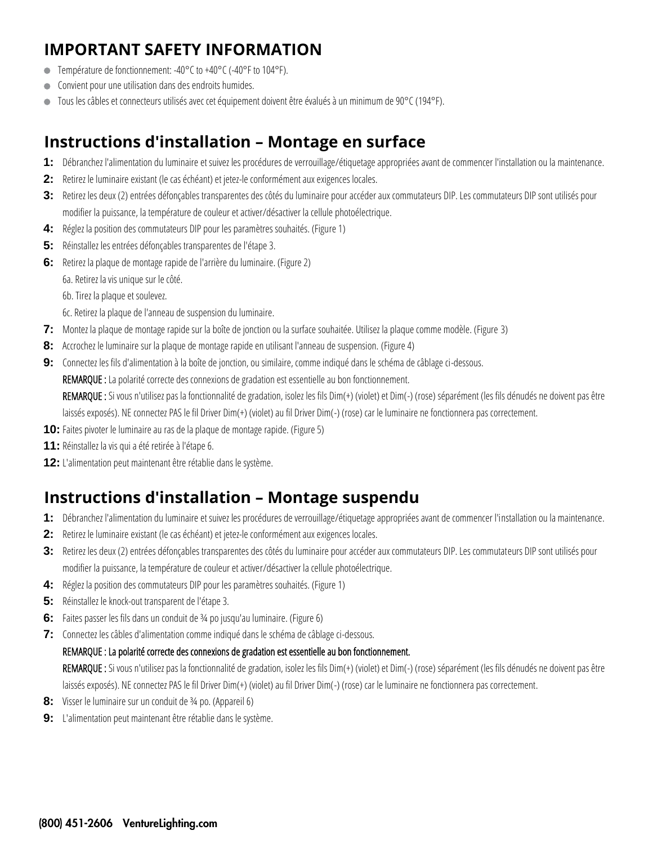#### **IMPORTANT SAFETY INFORMATION**

- Température de fonctionnement: -40°C to +40°C (-40°F to 104°F).
- Convient pour une utilisation dans des endroits humides.
- Tous les câbles et connecteurs utilisés avec cet équipement doivent être évalués à un minimum de 90°C (194°F).

#### **Instructions d'installation – Montage en surface**

- **1:** Débranchez l'alimentation du luminaire et suivez les procédures de verrouillage/étiquetage appropriées avant de commencer l'installation ou la maintenance.
- **2:** Retirez le luminaire existant (le cas échéant) et jetez-le conformément aux exigences locales.
- **3:** Retirez les deux (2) entrées défonçables transparentes des côtés du luminaire pour accéder aux commutateurs DIP. Les commutateurs DIP sont utilisés pour modifier la puissance, la température de couleur et activer/désactiver la cellule photoélectrique.
- **4:** Réglez la position des commutateurs DIP pour les paramètres souhaités. (Figure 1)
- **5:** Réinstallez les entrées défonçables transparentes de l'étape 3.
- **6:** Retirez la plaque de montage rapide de l'arrière du luminaire. (Figure 2)
	- 6a. Retirez la vis unique sur le côté.
	- 6b. Tirez la plaque et soulevez.
	- 6c. Retirez la plaque de l'anneau de suspension du luminaire.
- **7:** Montez la plaque de montage rapide sur la boîte de jonction ou la surface souhaitée. Utilisez la plaque comme modèle. (Figure 3)
- **8:** Accrochez le luminaire sur la plaque de montage rapide en utilisant l'anneau de suspension. (Figure 4)
- **9:** Connectez les fils d'alimentation à la boîte de jonction, ou similaire, comme indiqué dans le schéma de câblage ci-dessous.
	- REMARQUE : La polarité correcte des connexions de gradation est essentielle au bon fonctionnement.

REMARQUE : Si vous n'utilisez pas la fonctionnalité de gradation, isolez les fils Dim(+) (violet) et Dim(-) (rose) séparément (les fils dénudés ne doivent pas être laissés exposés). NE connectez PAS le fil Driver Dim(+) (violet) au fil Driver Dim(-) (rose) car le luminaire ne fonctionnera pas correctement.

- **10:** Faites pivoter le luminaire au ras de la plaque de montage rapide. (Figure 5)
- **11:** Réinstallez la vis qui a été retirée à l'étape 6.
- **12:** L'alimentation peut maintenant être rétablie dans le système.

#### **Instructions d'installation – Montage suspendu**

- **1:** Débranchez l'alimentation du luminaire et suivez les procédures de verrouillage/étiquetage appropriées avant de commencer l'installation ou la maintenance.
- **2:** Retirez le luminaire existant (le cas échéant) et jetez-le conformément aux exigences locales.
- **3:** Retirez les deux (2) entrées défonçables transparentes des côtés du luminaire pour accéder aux commutateurs DIP. Les commutateurs DIP sont utilisés pour modifier la puissance, la température de couleur et activer/désactiver la cellule photoélectrique.
- **4:** Réglez la position des commutateurs DIP pour les paramètres souhaités. (Figure 1)
- **5:** Réinstallez le knock-out transparent de l'étape 3.
- **6:** Faites passer les fils dans un conduit de ¾ po jusqu'au luminaire. (Figure 6)
- **7:** Connectez les câbles d'alimentation comme indiqué dans le schéma de câblage ci-dessous.

#### REMARQUE : La polarité correcte des connexions de gradation est essentielle au bon fonctionnement.

REMARQUE : Si vous n'utilisez pas la fonctionnalité de gradation, isolez les fils Dim(+) (violet) et Dim(-) (rose) séparément (les fils dénudés ne doivent pas être laissés exposés). NE connectez PAS le fil Driver Dim(+) (violet) au fil Driver Dim(-) (rose) car le luminaire ne fonctionnera pas correctement.

- **8:** Visser le luminaire sur un conduit de ¾ po. (Appareil 6)
- **9:** L'alimentation peut maintenant être rétablie dans le système.